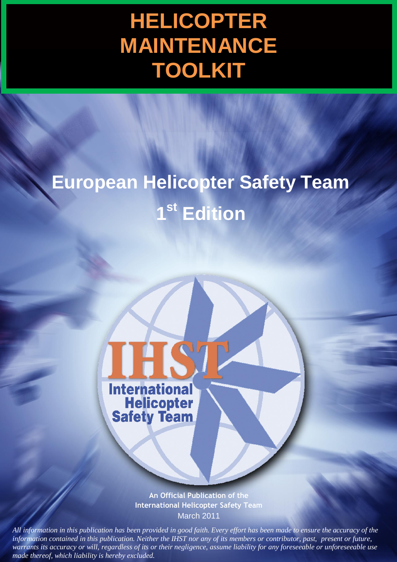# **HELICOPTER MAINTENANCE TOOLKIT**

# **European Helicopter Safety Team 1 st Edition**



**An Official Publication of the International Helicopter Safety Team** March 2011

1 *All information in this publication has been provided in good faith. Every effort has been made to ensure the accuracy of the*  and information in this publication in the accuracy of the accuracy of the *made thereof, which liability is hereby excluded. information contained in this publication. Neither the IHST nor any of its members or contributor, past, present or future, information contained in this publication. Neither the IHST nor any of its members or contributor, past, present or future, warrants its accuracy or will, regardless of its or their negligence, assume liability for any foreseeable or unforeseeable use*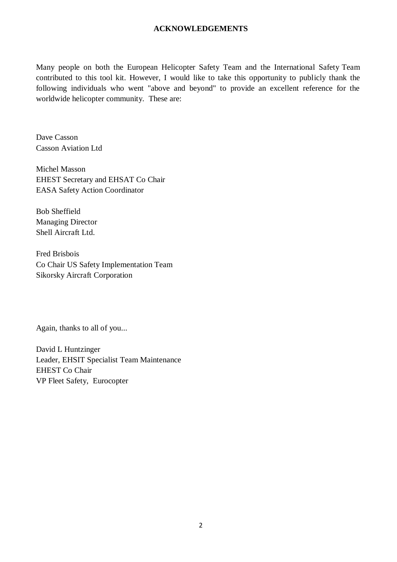#### **ACKNOWLEDGEMENTS**

Many people on both the European Helicopter Safety Team and the International Safety Team contributed to this tool kit. However, I would like to take this opportunity to publicly thank the following individuals who went "above and beyond" to provide an excellent reference for the worldwide helicopter community. These are:

Dave Casson Casson Aviation Ltd

Michel Masson EHEST Secretary and EHSAT Co Chair<br>EASA Safety Action Coordinator EASA Safety Action Coordinator nder der den staat van de staat van de staat van de staat van de staat van de staat van de staat van de staat<br>Stern van de staat van de staat van de staat van de staat van de staat van de staat van de staat van de staat

Bob Sheffield Managing Director Shell Aircraft Ltd.

Fred Brisbois Co Chair US Safety Implementation Team Sikorsky Aircraft Corporation

Again, thanks to all of you...

David L Huntzinger Leader, EHSIT Specialist Team Maintenance EHEST Co Chair VP Fleet Safety, Eurocopter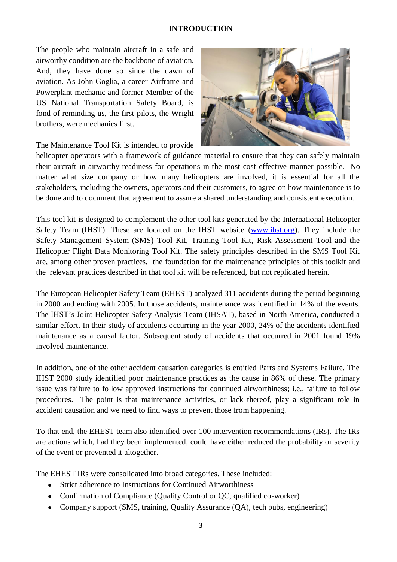#### **INTRODUCTION**

The people who maintain aircraft in a safe and airworthy condition are the backbone of aviation. And, they have done so since the dawn of aviation. As John Goglia, a career Airframe and Powerplant mechanic and former Member of the US National Transportation Safety Board, is fond of reminding us, the first pilots, the Wright brothers, were mechanics first.



The Maintenance Tool Kit is intended to provide

helicopter operators with a framework of guidance material to ensure that they can safely maintain their aircraft in airworthy readiness for operations in the most cost-effective manner possible. No matter what size company or how many helicopters are involved, it is essential for all the stakeholders, including the owners, operators and their customers, to agree on how maintenance is to be done and to document that agreement to assure a shared understanding and consistent execution.

This tool kit is designed to complement the other tool kits generated by the International Helicopter Safety Team (IHST). These are located on the IHST website [\(www.ihst.org\)](http://www.ihst.org/). They include the Safety Management System (SMS) Tool Kit, Training Tool Kit, Risk Assessment Tool and the Helicopter Flight Data Monitoring Tool Kit. The safety principles described in the SMS Tool Kit are, among other proven practices, the foundation for the maintenance principles of this toolkit and the relevant practices described in that tool kit will be referenced, but not replicated herein.

The European Helicopter Safety Team (EHEST) analyzed 311 accidents during the period beginning in 2000 and ending with 2005. In those accidents, maintenance was identified in 14% of the events. The IHST's Joint Helicopter Safety Analysis Team (JHSAT), based in North America, conducted a similar effort. In their study of accidents occurring in the year 2000, 24% of the accidents identified maintenance as a causal factor. Subsequent study of accidents that occurred in 2001 found 19% involved maintenance.

In addition, one of the other accident causation categories is entitled Parts and Systems Failure. The IHST 2000 study identified poor maintenance practices as the cause in 86% of these. The primary issue was failure to follow approved instructions for continued airworthiness; i.e., failure to follow procedures. The point is that maintenance activities, or lack thereof, play a significant role in accident causation and we need to find ways to prevent those from happening.

To that end, the EHEST team also identified over 100 intervention recommendations (IRs). The IRs are actions which, had they been implemented, could have either reduced the probability or severity of the event or prevented it altogether.

The EHEST IRs were consolidated into broad categories. These included:

- Strict adherence to Instructions for Continued Airworthiness
- Confirmation of Compliance (Quality Control or QC, qualified co-worker)
- Company support (SMS, training, Quality Assurance (QA), tech pubs, engineering)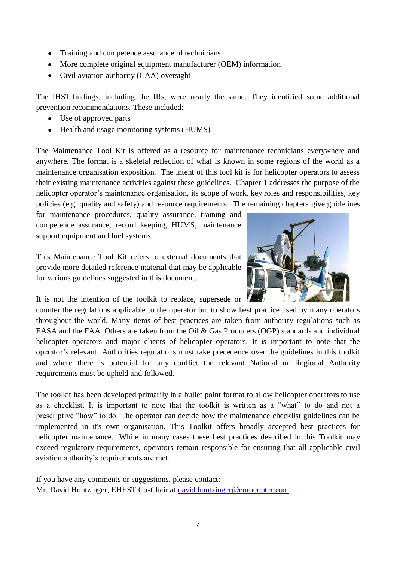- Training and competence assurance of technicians
- More complete original equipment manufacturer (OEM) information
- Civil aviation authority (CAA) oversight

The IHST findings, including the IRs, were nearly the same. They identified some additional prevention recommendations. These included:

- Use of approved parts
- Health and usage monitoring systems (HUMS)

The Maintenance Tool Kit is offered as a resource for maintenance technicians everywhere and anywhere. The format is a skeletal reflection of what is known in some regions of the world as a maintenance organisation exposition. The intent of this tool kit is for helicopter operators to assess their existing maintenance activities against these guidelines. Chapter 1 addresses the purpose of the helicopter operator's maintenance organisation, its scope of work, key roles and responsibilities, key policies (e.g. quality and safety) and resource requirements. The remaining chapters give guidelines

for maintenance procedures, quality assurance, training and competence assurance, record keeping, HUMS, maintenance support equipment and fuel systems.

This Maintenance Tool Kit refers to external documents that provide more detailed reference material that may be applicable for various guidelines suggested in this document.



counter the regulations applicable to the operator but to show best practice used by many operators throughout the world. Many items of best practices are taken from authority regulations such as EASA and the FAA. Others are taken from the Oil & Gas Producers (OGP) standards and individual helicopter operators and major clients of helicopter operators. It is important to note that the operator's relevant Authorities regulations must take precedence over the guidelines in this toolkit and where there is potential for any conflict the relevant National or Regional Authority requirements must be upheld and followed.

The toolkit has been developed primarily in a bullet point format to allow helicopter operators to use as a checklist. It is important to note that the toolkit is written as a "what" to do and not a prescriptive "how" to do. The operator can decide how the maintenance checklist guidelines can be implemented in it's own organisation. This Toolkit offers broadly accepted best practices for helicopter maintenance. While in many cases these best practices described in this Toolkit may exceed regulatory requirements, operators remain responsible for ensuring that all applicable civil aviation authority's requirements are met.

If you have any comments or suggestions, please contact: Mr. David Huntzinger, EHEST Co-Chair at [david.huntzinger@eurocopter.com](mailto:david.huntzinger@eurocopter.com)

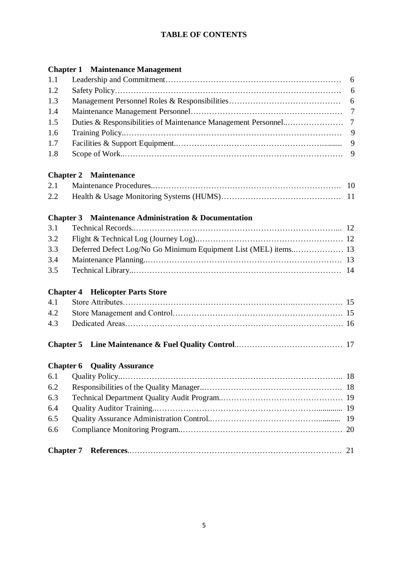# **TABLE OF CONTENTS**

# **Chapter 1 Maintenance Management**

| 1.1 |                                                             | 6              |
|-----|-------------------------------------------------------------|----------------|
| 1.2 |                                                             | 6              |
| 1.3 |                                                             | 6              |
| 1.4 |                                                             |                |
| 1.5 |                                                             | $\overline{7}$ |
| 1.6 |                                                             | 9              |
| 1.7 |                                                             | 9              |
| 1.8 |                                                             | 9              |
|     | <b>Chapter 2 Maintenance</b>                                |                |
| 2.1 |                                                             |                |
| 2.2 |                                                             |                |
|     | <b>Chapter 3</b> Maintenance Administration & Documentation |                |
| 3.1 |                                                             |                |
| 3.2 |                                                             |                |
| 3.3 |                                                             |                |
| 3.4 |                                                             |                |
| 3.5 |                                                             |                |
|     | <b>Chapter 4 Helicopter Parts Store</b>                     |                |
| 4.1 |                                                             |                |
| 4.2 |                                                             |                |
| 4.3 |                                                             |                |
|     |                                                             |                |
|     | <b>Chapter 6 Quality Assurance</b>                          |                |
| 6.1 |                                                             |                |
| 6.2 |                                                             | 18             |
| 6.3 |                                                             |                |
| 6.4 |                                                             |                |
| 6.5 |                                                             | 19             |
| 6.6 |                                                             |                |
|     | <b>Chapter 7</b>                                            | 21             |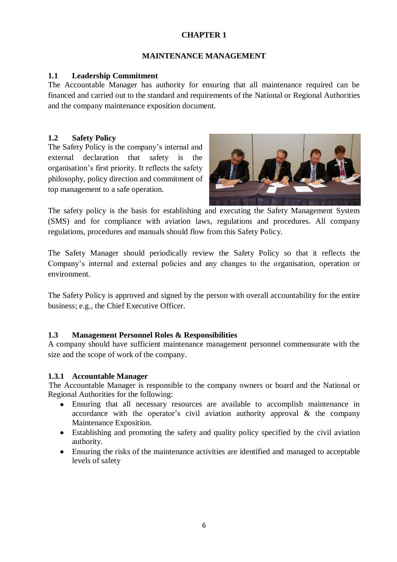#### **MAINTENANCE MANAGEMENT**

#### **1.1 Leadership Commitment**

The Accountable Manager has authority for ensuring that all maintenance required can be financed and carried out to the standard and requirements of the National or Regional Authorities and the company maintenance exposition document.

#### **1.2 Safety Policy**

The Safety Policy is the company's internal and external declaration that safety is the organisation's first priority. It reflects the safety philosophy, policy direction and commitment of top management to a safe operation.



The safety policy is the basis for establishing and executing the Safety Management System (SMS) and for compliance with aviation laws, regulations and procedures. All company regulations, procedures and manuals should flow from this Safety Policy.

The Safety Manager should periodically review the Safety Policy so that it reflects the Company's internal and external policies and any changes to the organisation, operation or environment.

The Safety Policy is approved and signed by the person with overall accountability for the entire business; e.g., the Chief Executive Officer.

#### **1.3 Management Personnel Roles & Responsibilities**

A company should have sufficient maintenance management personnel commensurate with the size and the scope of work of the company.

#### **1.3.1 Accountable Manager**

The Accountable Manager is responsible to the company owners or board and the National or Regional Authorities for the following:

- Ensuring that all necessary resources are available to accomplish maintenance in accordance with the operator's civil aviation authority approval & the company Maintenance Exposition.
- Establishing and promoting the safety and quality policy specified by the civil aviation authority.
- Ensuring the risks of the maintenance activities are identified and managed to acceptable levels of safety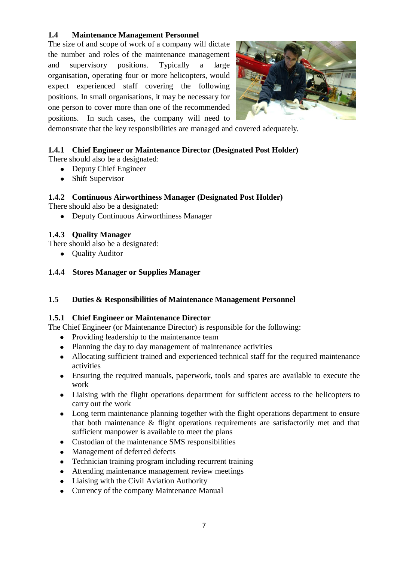#### **1.4 Maintenance Management Personnel**

The size of and scope of work of a company will dictate the number and roles of the maintenance management and supervisory positions. Typically a large organisation, operating four or more helicopters, would expect experienced staff covering the following positions. In small organisations, it may be necessary for one person to cover more than one of the recommended positions. In such cases, the company will need to



demonstrate that the key responsibilities are managed and covered adequately.

# **1.4.1 Chief Engineer or Maintenance Director (Designated Post Holder)**

There should also be a designated:

- Deputy Chief Engineer
- Shift Supervisor

#### **1.4.2 Continuous Airworthiness Manager (Designated Post Holder)**

There should also be a designated:

Deputy Continuous Airworthiness Manager

# **1.4.3 Quality Manager**

There should also be a designated:

- Quality Auditor
- **1.4.4 Stores Manager or Supplies Manager**

#### **1.5 Duties & Responsibilities of Maintenance Management Personnel**

#### **1.5.1 Chief Engineer or Maintenance Director**

The Chief Engineer (or Maintenance Director) is responsible for the following:

- Providing leadership to the maintenance team
- Planning the day to day management of maintenance activities
- Allocating sufficient trained and experienced technical staff for the required maintenance  $\bullet$ activities
- Ensuring the required manuals, paperwork, tools and spares are available to execute the  $\bullet$ work
- $\bullet$ Liaising with the flight operations department for sufficient access to the helicopters to carry out the work
- $\bullet$ Long term maintenance planning together with the flight operations department to ensure that both maintenance & flight operations requirements are satisfactorily met and that sufficient manpower is available to meet the plans
- Custodian of the maintenance SMS responsibilities  $\bullet$
- Management of deferred defects  $\bullet$
- Technician training program including recurrent training
- Attending maintenance management review meetings
- Liaising with the Civil Aviation Authority
- Currency of the company Maintenance Manual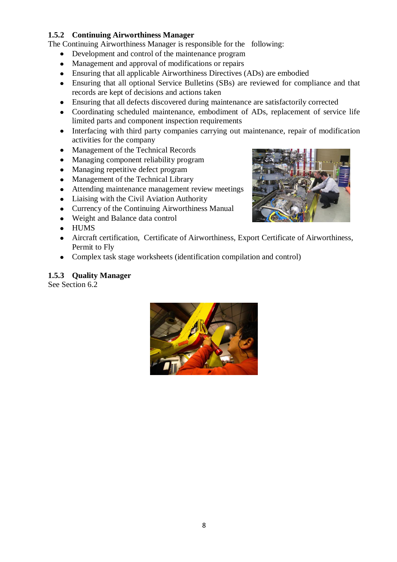# **1.5.2 Continuing Airworthiness Manager**

- The Continuing Airworthiness Manager is responsible for the following:
	- Development and control of the maintenance program
	- Management and approval of modifications or repairs
	- Ensuring that all applicable Airworthiness Directives (ADs) are embodied
	- Ensuring that all optional Service Bulletins (SBs) are reviewed for compliance and that records are kept of decisions and actions taken
	- Ensuring that all defects discovered during maintenance are satisfactorily corrected  $\bullet$
	- $\bullet$ Coordinating scheduled maintenance, embodiment of ADs, replacement of service life limited parts and component inspection requirements
	- $\bullet$ Interfacing with third party companies carrying out maintenance, repair of modification activities for the company
	- Management of the Technical Records  $\bullet$
	- Managing component reliability program  $\bullet$
	- Managing repetitive defect program  $\bullet$
	- Management of the Technical Library  $\bullet$
	- Attending maintenance management review meetings  $\bullet$
	- Liaising with the Civil Aviation Authority  $\bullet$
	- Currency of the Continuing Airworthiness Manual  $\bullet$
	- Weight and Balance data control  $\bullet$
	- HUMS
	- Aircraft certification, Certificate of Airworthiness, Export Certificate of Airworthiness,  $\bullet$ Permit to Fly
	- $\bullet$ Complex task stage worksheets (identification compilation and control)

# **1.5.3 Quality Manager**

See Section 6.2



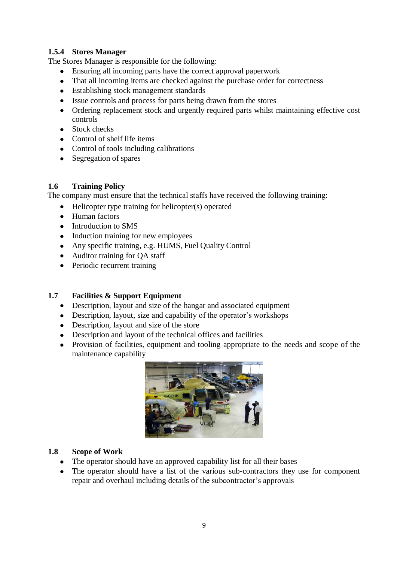# **1.5.4 Stores Manager**

The Stores Manager is responsible for the following:

- Ensuring all incoming parts have the correct approval paperwork
- That all incoming items are checked against the purchase order for correctness
- Establishing stock management standards
- Issue controls and process for parts being drawn from the stores
- Ordering replacement stock and urgently required parts whilst maintaining effective cost  $\bullet$ controls
- Stock checks
- Control of shelf life items
- Control of tools including calibrations
- Segregation of spares

#### **1.6 Training Policy**

The company must ensure that the technical staffs have received the following training:

- $\bullet$ Helicopter type training for helicopter(s) operated
- Human factors
- Introduction to SMS
- Induction training for new employees
- Any specific training, e.g. HUMS, Fuel Quality Control
- Auditor training for OA staff
- Periodic recurrent training

# **1.7 Facilities & Support Equipment**

- Description, layout and size of the hangar and associated equipment
- Description, layout, size and capability of the operator's workshops
- Description, layout and size of the store
- Description and layout of the technical offices and facilities
- Provision of facilities, equipment and tooling appropriate to the needs and scope of the maintenance capability



#### **1.8 Scope of Work**

- The operator should have an approved capability list for all their bases
- The operator should have a list of the various sub-contractors they use for component repair and overhaul including details of the subcontractor's approvals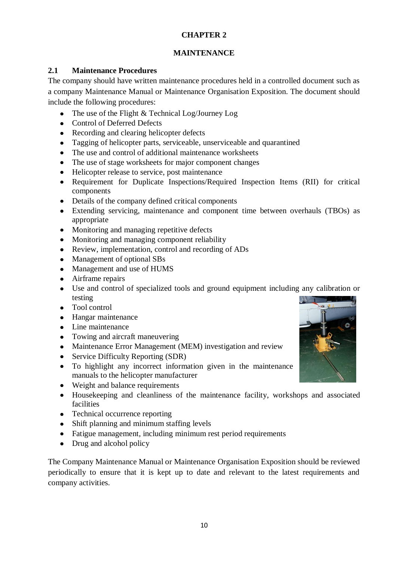# **MAINTENANCE**

# **2.1 Maintenance Procedures**

The company should have written maintenance procedures held in a controlled document such as a company Maintenance Manual or Maintenance Organisation Exposition. The document should include the following procedures:

- The use of the Flight & Technical Log/Journey Log
- Control of Deferred Defects
- Recording and clearing helicopter defects
- $\bullet$ Tagging of helicopter parts, serviceable, unserviceable and quarantined
- The use and control of additional maintenance worksheets
- The use of stage worksheets for major component changes
- Helicopter release to service, post maintenance
- Requirement for Duplicate Inspections/Required Inspection Items (RII) for critical  $\bullet$ components
- Details of the company defined critical components
- Extending servicing, maintenance and component time between overhauls (TBOs) as  $\bullet$ appropriate
- Monitoring and managing repetitive defects
- Monitoring and managing component reliability  $\bullet$
- Review, implementation, control and recording of ADs  $\bullet$
- Management of optional SBs
- Management and use of HUMS
- Airframe repairs  $\bullet$
- $\bullet$ Use and control of specialized tools and ground equipment including any calibration or testing
- Tool control
- Hangar maintenance
- Line maintenance
- Towing and aircraft maneuvering
- Maintenance Error Management (MEM) investigation and review
- $\bullet$ Service Difficulty Reporting (SDR)
- To highlight any incorrect information given in the maintenance manuals to the helicopter manufacturer
- Weight and balance requirements
- Housekeeping and cleanliness of the maintenance facility, workshops and associated  $\bullet$ facilities
- Technical occurrence reporting
- Shift planning and minimum staffing levels
- Fatigue management, including minimum rest period requirements
- Drug and alcohol policy

The Company Maintenance Manual or Maintenance Organisation Exposition should be reviewed periodically to ensure that it is kept up to date and relevant to the latest requirements and company activities.

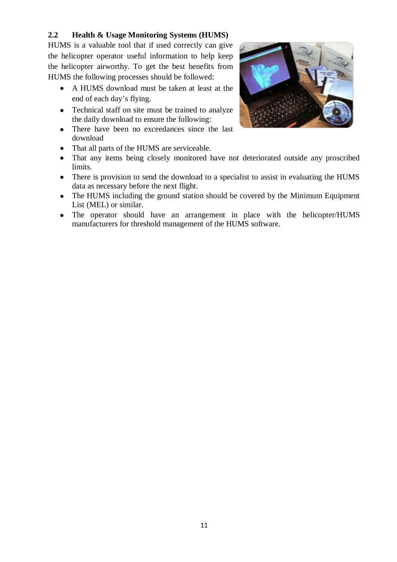# **2.2 Health & Usage Monitoring Systems (HUMS)**

HUMS is a valuable tool that if used correctly can give the helicopter operator useful information to help keep the helicopter airworthy. To get the best benefits from HUMS the following processes should be followed:

- A HUMS download must be taken at least at the end of each day's flying.
- Technical staff on site must be trained to analyze the daily download to ensure the following:
- There have been no exceedances since the last  $\bullet$ download
- That all parts of the HUMS are serviceable.  $\bullet$
- That any items being closely monitored have not deteriorated outside any proscribed  $\bullet$ limits.
- There is provision to send the download to a specialist to assist in evaluating the HUMS data as necessary before the next flight.
- The HUMS including the ground station should be covered by the Minimum Equipment List (MEL) or similar.
- The operator should have an arrangement in place with the helicopter/HUMS manufacturers for threshold management of the HUMS software.

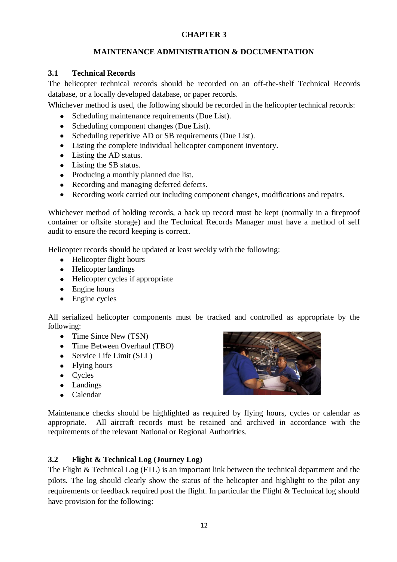# **MAINTENANCE ADMINISTRATION & DOCUMENTATION**

#### **3.1 Technical Records**

The helicopter technical records should be recorded on an off-the-shelf Technical Records database, or a locally developed database, or paper records.

Whichever method is used, the following should be recorded in the helicopter technical records:

- Scheduling maintenance requirements (Due List).
- Scheduling component changes (Due List).
- Scheduling repetitive AD or SB requirements (Due List).
- Listing the complete individual helicopter component inventory.
- Listing the AD status.
- Listing the SB status.
- Producing a monthly planned due list.
- Recording and managing deferred defects.
- Recording work carried out including component changes, modifications and repairs.

Whichever method of holding records, a back up record must be kept (normally in a fireproof container or offsite storage) and the Technical Records Manager must have a method of self audit to ensure the record keeping is correct.

Helicopter records should be updated at least weekly with the following:

- Helicopter flight hours
- Helicopter landings
- Helicopter cycles if appropriate
- Engine hours
- Engine cycles

All serialized helicopter components must be tracked and controlled as appropriate by the following:

- Time Since New (TSN)
- Time Between Overhaul (TBO)
- Service Life Limit (SLL)
- Flying hours
- Cycles
- Landings
- Calendar  $\bullet$



Maintenance checks should be highlighted as required by flying hours, cycles or calendar as appropriate. All aircraft records must be retained and archived in accordance with the requirements of the relevant National or Regional Authorities.

# **3.2 Flight & Technical Log (Journey Log)**

The Flight & Technical Log (FTL) is an important link between the technical department and the pilots. The log should clearly show the status of the helicopter and highlight to the pilot any requirements or feedback required post the flight. In particular the Flight & Technical log should have provision for the following: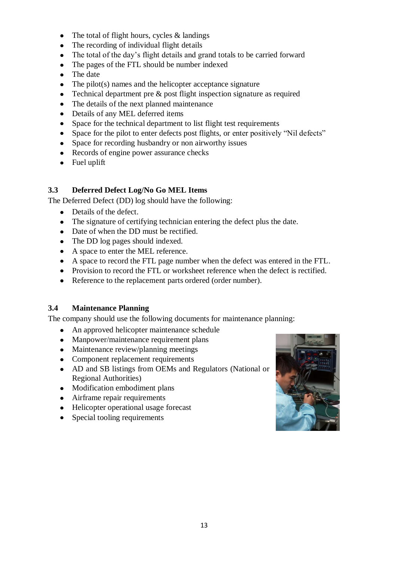- The total of flight hours, cycles & landings  $\bullet$
- The recording of individual flight details  $\bullet$
- $\bullet$ The total of the day's flight details and grand totals to be carried forward
- The pages of the FTL should be number indexed  $\bullet$
- The date
- The pilot(s) names and the helicopter acceptance signature  $\bullet$
- Technical department pre & post flight inspection signature as required  $\bullet$
- The details of the next planned maintenance
- Details of any MEL deferred items
- Space for the technical department to list flight test requirements  $\bullet$
- Space for the pilot to enter defects post flights, or enter positively "Nil defects"
- Space for recording husbandry or non airworthy issues  $\bullet$
- Records of engine power assurance checks
- Fuel uplift

# **3.3 Deferred Defect Log/No Go MEL Items**

The Deferred Defect (DD) log should have the following:

- Details of the defect.  $\bullet$
- The signature of certifying technician entering the defect plus the date.
- Date of when the DD must be rectified.
- The DD log pages should indexed.
- A space to enter the MEL reference.
- A space to record the FTL page number when the defect was entered in the FTL.
- Provision to record the FTL or worksheet reference when the defect is rectified.
- Reference to the replacement parts ordered (order number).

# **3.4 Maintenance Planning**

The company should use the following documents for maintenance planning:

- An approved helicopter maintenance schedule
- Manpower/maintenance requirement plans
- Maintenance review/planning meetings
- Component replacement requirements
- AD and SB listings from OEMs and Regulators (National or Regional Authorities)
- Modification embodiment plans
- Airframe repair requirements
- Helicopter operational usage forecast
- Special tooling requirements $\bullet$

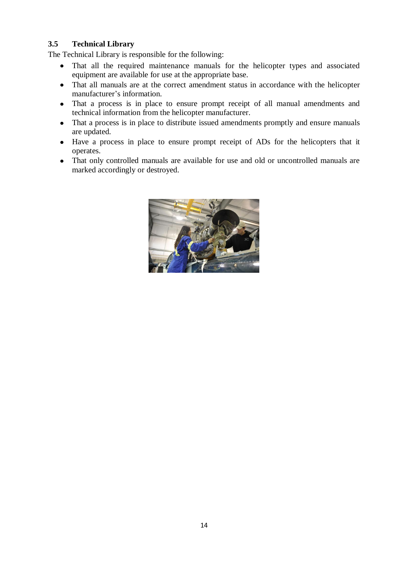# **3.5 Technical Library**

The Technical Library is responsible for the following:

- That all the required maintenance manuals for the helicopter types and associated equipment are available for use at the appropriate base.
- That all manuals are at the correct amendment status in accordance with the helicopter manufacturer's information.
- That a process is in place to ensure prompt receipt of all manual amendments and  $\bullet$ technical information from the helicopter manufacturer.
- That a process is in place to distribute issued amendments promptly and ensure manuals are updated.
- Have a process in place to ensure prompt receipt of ADs for the helicopters that it operates.
- That only controlled manuals are available for use and old or uncontrolled manuals are marked accordingly or destroyed.

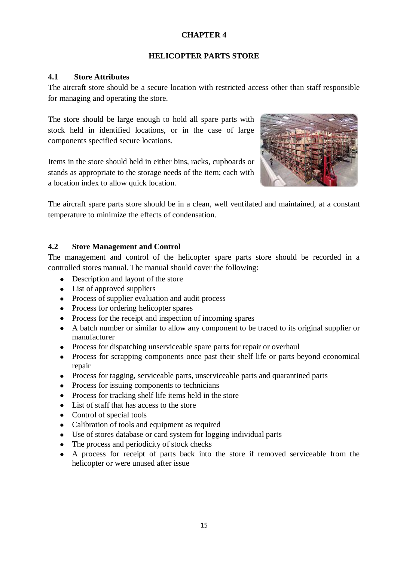#### **HELICOPTER PARTS STORE**

#### **4.1 Store Attributes**

The aircraft store should be a secure location with restricted access other than staff responsible for managing and operating the store.

The store should be large enough to hold all spare parts with stock held in identified locations, or in the case of large components specified secure locations.

Items in the store should held in either bins, racks, cupboards or stands as appropriate to the storage needs of the item; each with a location index to allow quick location.



The aircraft spare parts store should be in a clean, well ventilated and maintained, at a constant temperature to minimize the effects of condensation.

# **4.2 Store Management and Control**

The management and control of the helicopter spare parts store should be recorded in a controlled stores manual. The manual should cover the following:

- Description and layout of the store
- List of approved suppliers
- Process of supplier evaluation and audit process
- Process for ordering helicopter spares
- Process for the receipt and inspection of incoming spares
- A batch number or similar to allow any component to be traced to its original supplier or manufacturer
- Process for dispatching unserviceable spare parts for repair or overhaul  $\bullet$
- Process for scrapping components once past their shelf life or parts beyond economical repair
- Process for tagging, serviceable parts, unserviceable parts and quarantined parts
- Process for issuing components to technicians
- Process for tracking shelf life items held in the store
- List of staff that has access to the store
- Control of special tools
- Calibration of tools and equipment as required
- Use of stores database or card system for logging individual parts
- The process and periodicity of stock checks  $\bullet$
- A process for receipt of parts back into the store if removed serviceable from the  $\bullet$ helicopter or were unused after issue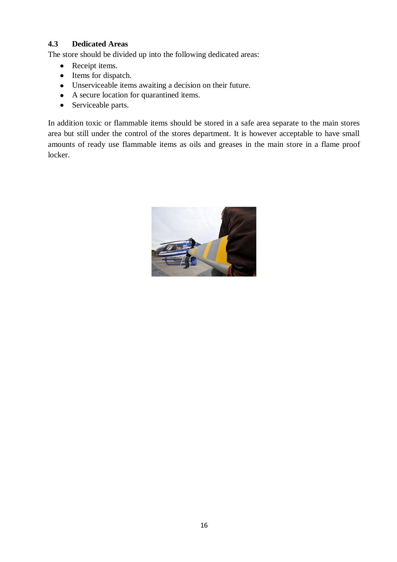# **4.3 Dedicated Areas**

The store should be divided up into the following dedicated areas:

- Receipt items.
- Items for dispatch.
- Unserviceable items awaiting a decision on their future.
- A secure location for quarantined items.
- Serviceable parts.

In addition toxic or flammable items should be stored in a safe area separate to the main stores area but still under the control of the stores department. It is however acceptable to have small amounts of ready use flammable items as oils and greases in the main store in a flame proof locker.

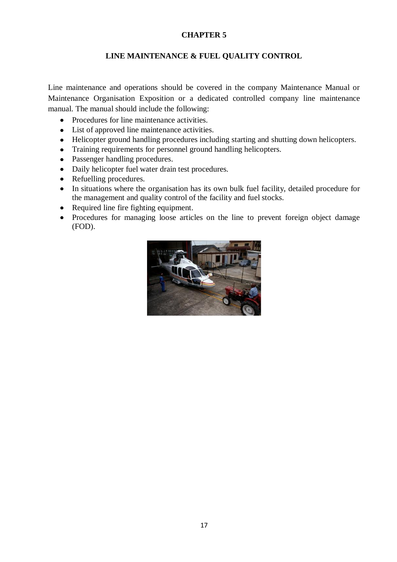#### **LINE MAINTENANCE & FUEL QUALITY CONTROL**

Line maintenance and operations should be covered in the company Maintenance Manual or Maintenance Organisation Exposition or a dedicated controlled company line maintenance manual. The manual should include the following:

- Procedures for line maintenance activities.
- List of approved line maintenance activities.
- Helicopter ground handling procedures including starting and shutting down helicopters.
- Training requirements for personnel ground handling helicopters.
- Passenger handling procedures.
- Daily helicopter fuel water drain test procedures.  $\bullet$
- Refuelling procedures.
- In situations where the organisation has its own bulk fuel facility, detailed procedure for the management and quality control of the facility and fuel stocks.
- $\bullet$ Required line fire fighting equipment.
- Procedures for managing loose articles on the line to prevent foreign object damage  $\bullet$ (FOD).

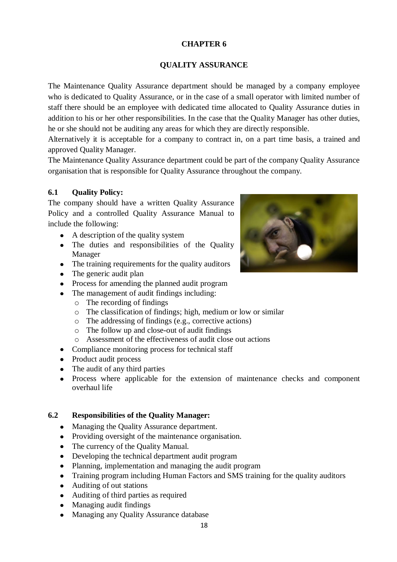# **QUALITY ASSURANCE**

The Maintenance Quality Assurance department should be managed by a company employee who is dedicated to Quality Assurance, or in the case of a small operator with limited number of staff there should be an employee with dedicated time allocated to Quality Assurance duties in addition to his or her other responsibilities. In the case that the Quality Manager has other duties, he or she should not be auditing any areas for which they are directly responsible.

Alternatively it is acceptable for a company to contract in, on a part time basis, a trained and approved Quality Manager.

The Maintenance Quality Assurance department could be part of the company Quality Assurance organisation that is responsible for Quality Assurance throughout the company.

# **6.1 Quality Policy:**

The company should have a written Quality Assurance Policy and a controlled Quality Assurance Manual to include the following:

- A description of the quality system
- The duties and responsibilities of the Quality Manager
- The training requirements for the quality auditors
- The generic audit plan
- Process for amending the planned audit program
- The management of audit findings including:
	- o The recording of findings
	- o The classification of findings; high, medium or low or similar
	- o The addressing of findings (e.g., corrective actions)
	- o The follow up and close-out of audit findings
	- o Assessment of the effectiveness of audit close out actions
- Compliance monitoring process for technical staff
- Product audit process
- The audit of any third parties
- $\bullet$ Process where applicable for the extension of maintenance checks and component overhaul life

# **6.2 Responsibilities of the Quality Manager:**

- Managing the Quality Assurance department.  $\bullet$
- Providing oversight of the maintenance organisation.
- The currency of the Quality Manual.
- Developing the technical department audit program
- Planning, implementation and managing the audit program  $\bullet$
- Training program including Human Factors and SMS training for the quality auditors  $\bullet$
- Auditing of out stations
- Auditing of third parties as required  $\bullet$
- Managing audit findings
- Managing any Quality Assurance database $\bullet$

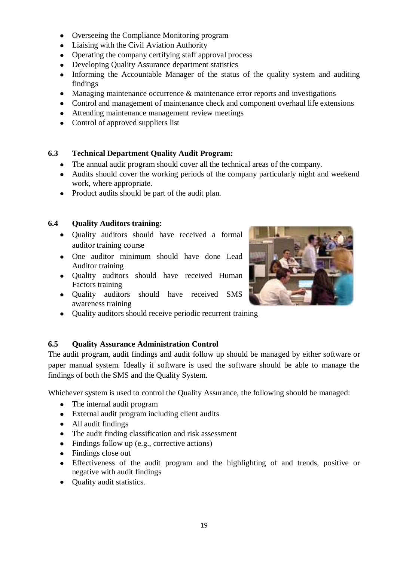- Overseeing the Compliance Monitoring program
- Liaising with the Civil Aviation Authority
- Operating the company certifying staff approval process
- Developing Quality Assurance department statistics
- Informing the Accountable Manager of the status of the quality system and auditing findings
- $\bullet$ Managing maintenance occurrence & maintenance error reports and investigations
- Control and management of maintenance check and component overhaul life extensions
- Attending maintenance management review meetings
- Control of approved suppliers list

# **6.3 Technical Department Quality Audit Program:**

- The annual audit program should cover all the technical areas of the company.
- Audits should cover the working periods of the company particularly night and weekend work, where appropriate.
- Product audits should be part of the audit plan.

#### **6.4 Quality Auditors training:**

- Quality auditors should have received a formal auditor training course
- One auditor minimum should have done Lead Auditor training
- Quality auditors should have received Human Factors training
- Quality auditors should have received SMS awareness training
- Quality auditors should receive periodic recurrent training

# **6.5 Quality Assurance Administration Control**

The audit program, audit findings and audit follow up should be managed by either software or paper manual system. Ideally if software is used the software should be able to manage the findings of both the SMS and the Quality System.

Whichever system is used to control the Quality Assurance, the following should be managed:

- The internal audit program
- External audit program including client audits
- All audit findings
- The audit finding classification and risk assessment
- Findings follow up (e.g., corrective actions)
- Findings close out
- Effectiveness of the audit program and the highlighting of and trends, positive or negative with audit findings
- Quality audit statistics.

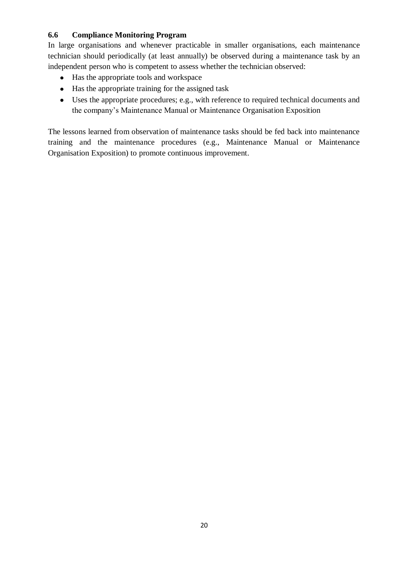# **6.6 Compliance Monitoring Program**

In large organisations and whenever practicable in smaller organisations, each maintenance technician should periodically (at least annually) be observed during a maintenance task by an independent person who is competent to assess whether the technician observed:

- Has the appropriate tools and workspace
- Has the appropriate training for the assigned task
- Uses the appropriate procedures; e.g., with reference to required technical documents and the company's Maintenance Manual or Maintenance Organisation Exposition

The lessons learned from observation of maintenance tasks should be fed back into maintenance training and the maintenance procedures (e.g., Maintenance Manual or Maintenance Organisation Exposition) to promote continuous improvement.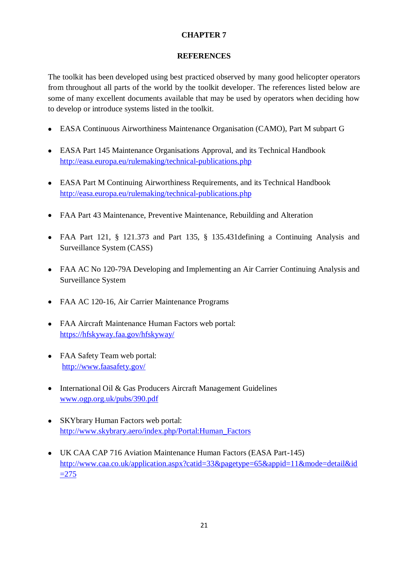#### **REFERENCES**

The toolkit has been developed using best practiced observed by many good helicopter operators from throughout all parts of the world by the toolkit developer. The references listed below are some of many excellent documents available that may be used by operators when deciding how to develop or introduce systems listed in the toolkit.

- EASA Continuous Airworthiness Maintenance Organisation (CAMO), Part M subpart G
- EASA Part 145 Maintenance Organisations Approval, and its Technical Handbook <http://easa.europa.eu/rulemaking/technical-publications.php>
- EASA Part M Continuing Airworthiness Requirements, and its Technical Handbook <http://easa.europa.eu/rulemaking/technical-publications.php>
- FAA Part 43 Maintenance, Preventive Maintenance, Rebuilding and Alteration
- FAA Part 121, § 121.373 and Part 135, § 135.431defining a Continuing Analysis and Surveillance System (CASS)
- FAA AC No 120-79A Developing and Implementing an Air Carrier Continuing Analysis and Surveillance System
- FAA AC 120-16, Air Carrier Maintenance Programs
- FAA Aircraft Maintenance Human Factors web portal: [https://hfskyway.faa.gov/hfskyway/](https://hfskyway.faa.gov/hfskyway/index.aspx)
- FAA Safety Team web portal: <http://www.faasafety.gov/>
- International Oil & Gas Producers Aircraft Management Guidelines [www.ogp.org.uk/pubs/390.pdf](http://www.ogp.org.uk/pubs/390.pdf)
- SKYbrary Human Factors web portal: [http://www.skybrary.aero/index.php/Portal:Human\\_Factors](http://www.skybrary.aero/index.php/Portal:Human_Factors)
- UK CAA CAP 716 Aviation Maintenance Human Factors (EASA Part-145) [http://www.caa.co.uk/application.aspx?catid=33&pagetype=65&appid=11&mode=detail&id](http://www.caa.co.uk/application.aspx?catid=33&pagetype=65&appid=11&mode=detail&id=275)  $=275$